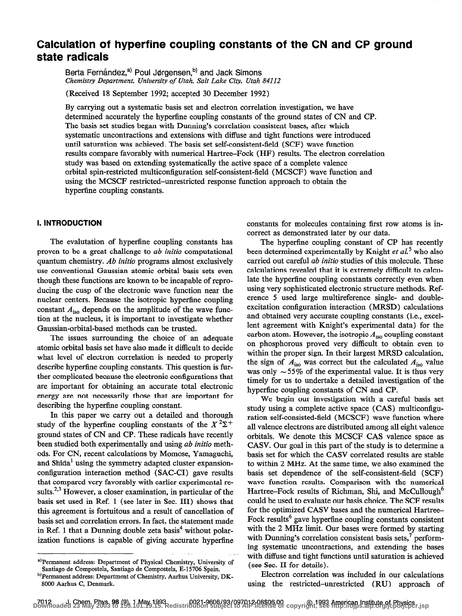# Calculation of hyperfine coupling constants of the CN and CP ground state radicals

Berta Fernández,<sup>a)</sup> Poul Jørgensen,<sup>b)</sup> and Jack Simons Chemistry Department, University of Utah, Salt Lake City, Utah 84112

(Received 18 September 1992; accepted 30 December 1992)

By carrying out a systematic basis set and electron correlation investigation, we have determined accurately the hyperfme coupling constants of the ground states of CN and CP. The basis set studies began with Dunning's correlation consistent bases, after which systematic uncontractions and extensions with diffuse and tight functions were introduced until saturation was achieved. The basis set self-consistent-field (SCF) wave function results compare favorably with numerical Hartree-Fock (HF) results. The electron correlation study was based on extending systematically the active space of a complete valence orbital spin-restricted multiconfiguration self-consistent-field (MCSCF) wave function and using the MCSCF restricted-unrestricted response function approach to obtain the hyperfine coupling constants.

## 1. INTRODUCTION

The evalutation of hyperfine coupling constants has proven to be a great challenge to *ab initio* computational quantum chemistry. Ab initio programs almost exclusively use conventional Gaussian atomic orbital basis sets even though these functions are known to be incapable of reproducing the cusp of the electronic wave function near the nuclear centers. Because the isotropic hyperfine coupling constant  $A_{\text{iso}}$  depends on the amplitude of the wave function at the nucleus, it is important to investigate whether Gaussian-orbital-based methods can be trusted.

The issues surrounding the choice of an adequate atomic orbital basis set have also made it difficult to decide what level of electron correlation is needed to properly describe hyperfine coupling constants. This question is further complicated because the electronic configurations that are important for obtaining an accurate total electronic energy are not necessarily those that are important for describing the hyperfine coupling constant.

In this paper we carry out a detailed and thorough study of the hyperfine coupling constants of the  $X^2\Sigma^+$ ground states of CN and CP. These radicals have recently been studied both experimentally and using ab initio methods. For CN, recent calculations by Momose, Yamaguchi, and Shida' using the symmetry adapted cluster expansionconfiguration interaction method (SAC-CI) gave results that compared very favorably with earlier experimental results.<sup>2,3</sup> However, a closer examination, in particular of the basis set used in Ref. 1 (see later in Sec. III) shows that this agreement is fortuitous and a result of cancellation of basis set and correlation errors. In fact, the statement made in Ref. 1 that a Dunning double zeta basis<sup>4</sup> without polarization functions is capable of giving accurate hyperfine constants for molecules containing first row atoms is incorrect as demonstrated later by our data.

The hyperfme coupling constant of CP has recently been determined experimentally by Knight et  $aL^5$  who also carried out careful ab initio studies of this molecule. These calculations revealed that it is extremely difficult to calculate the hyperfine coupling constants correctly even when using very sophisticated electronic structure methods. Reference 5 used large multireference single- and doubleexcitation configuration interaction (MRSD) calculations and obtained very accurate coupling constants (i.e., excellent agreement with Knight's experimental data) for the carbon atom. However, the isotropic  $A_{\text{iso}}$  coupling constant on phosphorous proved very difficult to obtain even to within the proper sign. In their largest MRSD calculation, the sign of  $A_{\text{iso}}$  was correct but the calculated  $A_{\text{iso}}$  value was only  $\sim$  55% of the experimental value. It is thus very timely for us to undertake a detailed investigation of the hypetine coupling constants of CN and CP.

We begin our investigation with a careful basis set study using a complete active space (CAS) multiconfiguration self-consisted-field (MCSCF) wave function where all valence electrons are distributed among all eight valence orbitals. We denote this MCSCF CAS valence space as CASV. Our goal in this part of the study is to determine a basis set for which the CASV correlated results are stable to within 2 MHz. At the same time, we also examined the basis set dependence of the self-consistent-field (SCF) wave function results. Comparison with the numerical Hartree–Fock results of Richman, Shi, and McCullough<sup>6</sup> could be used to evaluate our basis choice. The SCF results for the optimized CASV bases and the numerical Hartree-Fock results<sup>6</sup> gave hyperfine coupling constants consistent with the 2 MHz limit. Our bases were formed by starting with Dunning's correlation consistent basis sets,<sup>7</sup> performing systematic uncontractions, and extending the bases with diffuse and tight functions until saturation is achieved (see Sec. II for details).

Electron correlation was included in our calculations using the restricted-unrestricted (RU) approach of

a)Permanent address: Department of Physical Chemistry, University of Santiago de Compostela, Santiago de Compostela, E-15706 Spain. b)Permanent address: Department of Chemistry, Aarhus University, DK-

<sup>8000</sup> Aarhus C, Denmark.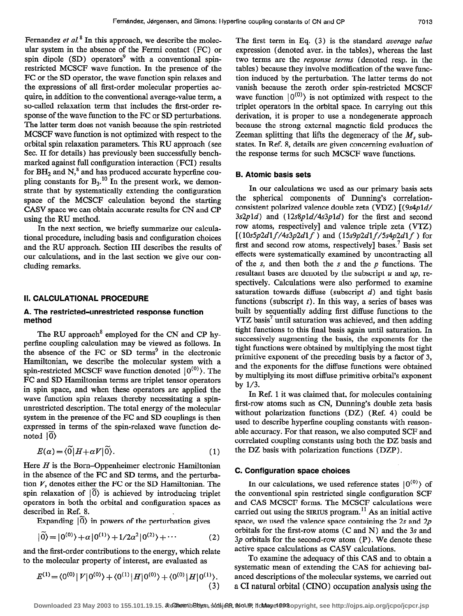Fernandez et  $al$ <sup>8</sup> In this approach, we describe the molecular system in the absence of the Fermi contact (FC) or spin dipole  $(SD)$  operators<sup>9</sup> with a conventional spinrestricted MCSCF wave function. In the presence of the FC or the SD operator, the wave function spin relaxes and the expressions of all first-order molecular properties acquire, in addition to the conventional average-value term, a so-called relaxation term that includes the first-order response of the wave function to the FC or SD perturbations. The latter term does not vanish because the spin-restricted MCSCF wave function is not optimized with respect to the orbital spin relaxation parameters. This RU approach (see Sec. II for details) has previously been successfully benchmarked against full configuration interaction (FCI) results for BH<sub>2</sub> and  $N<sub>s</sub><sup>8</sup>$  and has produced accurate hyperfine coupling constants for  $B_3$ .<sup>10</sup> In the present work, we demonstrate that by systematically extending the configuration space of the MCSCF calculation beyond the starting CASV space we can obtain accurate results for CN and CP using the RU method.

In the next section, we briefly summarize our calculational procedure, including basis and configuration choices and the RU approach. Section III describes the results of our calculations, and in the last section we give our concluding remarks.

### II. CALCULATIONAL PROCEDURE

### A. The restricted-unrestricted response function method

The RU approach<sup>8</sup> employed for the CN and CP hyperfine coupling calculation may be viewed as follows. In the absence of the FC or  $SD$  terms<sup>9</sup> in the electronic Hamiltonian, we describe the molecular system with a spin-restricted MCSCF wave function denoted  $|0^{(0)}\rangle$ . The FC and SD Hamiltonian terms are triplet tensor operators in spin space, and when these operators are applied the wave function spin relaxes thereby necessitating a spinunrestricted description. The total energy of the molecular system in the presence of the FC and SD couplings is then expressed in terms of the spin-relaxed wave function denoted  $|0\rangle$ 

$$
E(\alpha) = \langle \tilde{0} | H + \alpha V | \tilde{0} \rangle. \tag{1}
$$

Here  $H$  is the Born-Oppenheimer electronic Hamiltonian in the absence of the FC and SD terms, and the perturbation  $V$ , denotes either the FC or the SD Hamiltonian. The spin relaxation of  $\vert 0\rangle$  is achieved by introducing triplet operators in both the orbital and configuration spaces as described in Ref. 8.

Expanding  $|0\rangle$  in powers of the perturbation gives

$$
|\widetilde{0}\rangle = |0^{(0)}\rangle + \alpha |0^{(1)}\rangle + 1/2\alpha^2 |0^{(2)}\rangle + \cdots
$$
 (2)

and the first-order contributions to the energy, which relate to the molecular property of interest, are evaluated as

$$
E^{(1)} = \langle 0^{(0)} | V | 0^{(0)} \rangle + \langle 0^{(1)} | H | 0^{(0)} \rangle + \langle 0^{(0)} | H | 0^{(1)} \rangle. \tag{3}
$$

The first term in Eq. (3) is the standard *average value* expression (denoted aver. in the tables), whereas the last two terms are the response terms (denoted resp. in the tables) because they involve modification of the wave function induced by the perturbation. The latter terms do not vanish because the zeroth order spin-restricted MCSCF wave function  $|0^{(0)}\rangle$  is not optimized with respect to the triplet operators in the orbital space. In carrying out this derivation, it is proper to use a nondegenerate approach because the strong external magnetic field produces the Zeeman splitting that lifts the degeneracy of the  $M<sub>s</sub>$  substates. In Ref. 8, details are given concerning evaluation of the response terms for such MCSCF wave functions.

### 6. Atomic basis sets

In our calculations we used as our primary basis sets the spherical components of Dunning's correlationconsistent polarized valence double zeta (VDZ)  $[(9s4p1d)$  $3s2p1d$ ) and  $(12s8p1d/4s3p1d)$  for the first and second row atoms, respectively] and valence triple zeta (VTZ)  $[(10s5p2d1f/4s3p2d1f)$  and  $(15s9p2d1f/5s4p2d1f)$  for first and second row atoms, respectively] bases.7 Basis set effects were systematically examined by uncontracting all of the s, and then both the s and the  $p$  functions. The resultant bases are denoted by the subscript  $u$  and  $up$ , respectively. Calculations were also performed to examine saturation towards diffuse (subscript  $d$ ) and tight basis functions (subscript  $t$ ). In this way, a series of bases was built by sequentially adding first diffuse functions to the VTZ basis' until saturation was achieved, and then adding tight functions to this final basis again until saturation. In successively augmenting the basis, the exponents for the tight functions were obtained by multiplying the most tight primitive exponent of the preceding basis by a factor of 3, and the exponents for the diffuse functions were obtained by multiplying its most diffuse primitive orbital's exponent by l/3.

In Ref. 1 it was claimed that, for molecules containing first-row atoms such as CN, Dunning's double zeta basis without polarization functions (DZ) (Ref. 4) could be used to describe hyperfine coupling constants with reasonable accuracy. For that reason, we also computed SCF and correlated coupling constants using both the DZ basis and the DZ basis with polarization functions (DZP) .

# C. Configuration space choices

In our calculations, we used reference states  $|0^{(0)}\rangle$  of the conventional spin restricted single configuration SCF and CAS MCSCF forms. The MCSCF calculations were carried out using the SIRIUS program.<sup>11</sup> As an initial active space, we used the valence space containing the 2s and 2p orbitals for the first-row atoms (C and N) and the 3s and  $3p$  orbitals for the second-row atom (P). We denote these active space calculations as CASV calculations.

To examine the adequacy of this CAS and to obtain a systematic mean of extending the CAS for achieving balanced descriptions of the molecular systems, we carried out a CI natural orbital (GINO) occupation analysis using the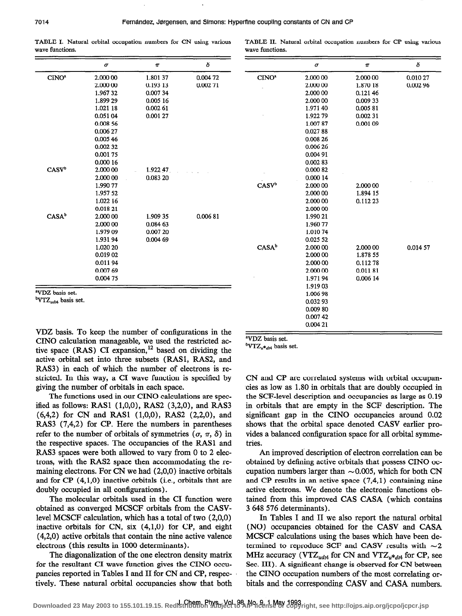wave functions. We wave functions.

TABLE I. Natural orbital occupation numbers for CN using various TABLE II. Natural orbital occupation numbers for CP using various

2.000 00 0.010 27 1.870 18 0.002 96

δ

2.000 00 0.014 57

0.12146 0.009 33 0.005 81 0.002 31 0.00109

 $\pi$ 

2.000 00 1.894 15 0.112 23

1.878 55 0.112 78 0.011 81 0.006 14

2.000 00 2.c00 00 2.000 00 2.000 00 1.97140 1.922 79 1.007 87 0.027 88 0.008 26 0.006 26 0.004 91 0.002 83 o.ooo 82 o.ooo 14  $2.00000$ 2.000 00 2.00000 2.cOo 00 1.990 21 1.960 77 1.010 74 0.025 52 2.000.00 2.000 00 2.OW 00 2.000 co 1.971 94 1.919 03 1.006 98 0.032 93 0.009 80 0.007 42  $0.00421$ 

 $\sigma$ 

|                   | $\pmb{\sigma}$ | $\pi$    | δ       |                          |
|-------------------|----------------|----------|---------|--------------------------|
| CINO <sup>a</sup> | 2.000 00       | 1.801 37 | 0.00472 | CINO <sup>a</sup>        |
|                   | 2.000 00       | 0.193 13 | 0.00271 |                          |
|                   | 1.96732        | 0.00734  |         |                          |
|                   | 1.899 29       | 0.005 16 |         |                          |
|                   | 1.021 18       | 0.00261  |         |                          |
|                   | 0.051 04       | 0.001 27 |         |                          |
|                   | 0.008 56       |          |         |                          |
|                   | 0.006 27       |          |         |                          |
|                   | 0.005 46       |          |         |                          |
|                   | 0.002 32       |          |         |                          |
|                   | 0.00175        |          |         |                          |
|                   | 0.000 16       |          |         |                          |
| CASV <sup>b</sup> | 2.000 00       | 1.922 47 |         |                          |
|                   | 2.000 00       | 0.083 20 |         |                          |
|                   | 1.990 77       |          |         | <b>CASV</b> <sup>b</sup> |
|                   | 1.957 52       |          |         |                          |
|                   | 1.022 16       |          |         |                          |
|                   | 0.018 21       |          |         |                          |
| $CASA^b$          | 2.000 00       | 1.909 35 | 0.00681 |                          |
|                   | 2.000 00       | 0.084 63 |         |                          |
|                   | 1.979 09       | 0.007 20 |         |                          |
|                   | 1.931 94       | 0.004 69 |         |                          |
|                   | 1.020 20       |          |         | $CASA^b$                 |
|                   | 0.019 02       |          |         |                          |
|                   | 0.01194        |          |         |                          |
|                   | 0.007 69       |          |         |                          |
|                   | 0.004 75       |          |         |                          |

"VDZ basis set.

 $\rm ^{b}VTZ_{udt4}$  basis set.

VDZ basis. To keep the number of configurations in the CINO calculation manageable, we used the restricted active space  $(RAS)$  CI expansion,<sup>12</sup> based on dividing the active orbital set into three subsets (RASl, RASZ, and RAS3) in each of which the number of electrons is restricted. In this way, a CI wave function is specified by giving the number of orbitals in each space.

The functions used in our CINO calculations are specified as follows: RAS1  $(1,0,0)$ , RAS2  $(3,2,0)$ , and RAS3 (6,4,2) for CN and RASl (l,O,O), RAS2 (2,2,0), and RAS3 (7,4,2) for CP. Here the numbers in parentheses refer to the number of orbitals of symmetries  $(\sigma, \pi, \delta)$  in the respective spaces. The occupancies of the RASl and RAS3 spaces were both allowed to vary from 0 to 2 electrons, with the RAS2 space then accommodating the remaining electrons. For CN we had (2,0,0) inactive orbitals and for CP (4,1,0) inactive orbitals (i.e., orbitals that are doubly occupied in all configurations).

The molecular orbitals used in the CI function were obtained as converged MCSCF orbitals from the CASVlevel MCSCF calculation, which has a total of two (2,0,0) inactive orbitals for CN, six (4,1,0) for CP, and eight (4,2,0) active orbitals that contain the nine active valence electrons (this results in 1000 determinants).

The diagonalization of the one electron density matrix for the resultant CI wave function gives the CINO occupancies reported in Tables I and II for CN and CP, respectively. These natural orbital occupancies show that both

aVDZ basis set.

 ${}^{\text{b}}\text{VTZ}_{u}*_{di4}$  basis set.

CN and CP are correlated systems with orbital occupancies as low as 1.80 in orbitals that are doubly occupied in the SCF-level description and occupancies as large as 0.19 in orbitals that are empty in the SCF description. The significant gap in the CINO occupancies around 0.02 shows that the orbital space denoted CASV earlier provides a balanced configuration space for all orbital symmetries.

An improved description of electron correlation can be obtained by defining active orbitals that possess CINO occupation numbers larger than  $\sim$  0.005, which for both CN and CP results in an active space (7,4,1) containing nine active electrons. We denote the electronic functions obtained from this improved CAS CASA (which contains 3 648 576 determinants).

In Tables I and II we also report the natural orbital (NO) occupancies obtained for the CASV and CASA MCSCF calculations using the bases which have been determined to reproduce SCF and CASV results with  $\sim$ 2 MHz accuracy (VTZ<sub>udt4</sub> for CN and VTZ<sub>u</sub> $*_{d$ t4 for CP, see Sec. III). A significant change is observed for CN between the CINO occupation numbers of the most correlating orbitals and the corresponding CASV and CASA numbers.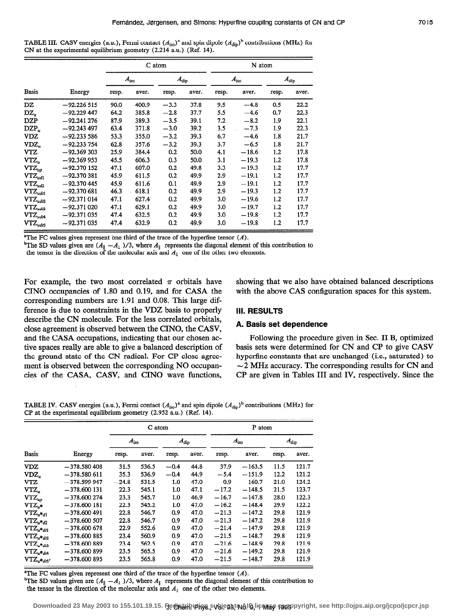TABLE III. CASV energies (a.u.), Fermi contact  $(A_{\text{iso}})^a$  and spin dipole  $(A_{\text{dip}})^b$  contributions (MHz) for CN at the experimental equilibrium geometry (2.214 a.u.) (Ref. 14).

|                                                |               |       |               | C atom |               |       | N atom        |         |               |  |  |
|------------------------------------------------|---------------|-------|---------------|--------|---------------|-------|---------------|---------|---------------|--|--|
|                                                |               |       | $A_{\rm iso}$ |        | $A_{\rm dip}$ |       | $A_{\rm iso}$ |         | $A_{\rm dip}$ |  |  |
| <b>Basis</b>                                   | Energy        | resp. | aver.         | resp.  | aver.         | resp. | aver.         | resp.   | aver.         |  |  |
| DZ                                             | $-92.226515$  | 90.0  | 400.9         | $-3.3$ | 37.8          | 9.5   | $-4.8$        | 0.5     | 22.2          |  |  |
| $\mathbf{D}\mathbf{Z}_n$                       | $-92.229$ 447 | 64.2  | 385.8         | $-2.8$ | 37.7          | 5.5   | $-4.6$        | 0.7     | 22.3          |  |  |
| DZP                                            | $-92.241276$  | 87.9  | 389.3         | $-3.5$ | 39.1          | 7.2   | $-8.2$        | 1.9     | 22.1          |  |  |
| $DZP_u$                                        | $-92.243497$  | 63.4  | 371.8         | $-3.0$ | 39.2          | 3.5   | $-7.3$        | 1.9     | 22.3          |  |  |
| VDZ                                            | $-92.233586$  | 53.3  | 355.0         | $-3.2$ | 39.3          | 6.7   | $-4.6$        | 1.8     | 21.7          |  |  |
| VDZ,                                           | $-92.233754$  | 62.8  | 357.6         | $-3.2$ | 39.3          | 3.7   | $-6.5$        | 1.8     | 21.7          |  |  |
| VTZ                                            | $-92.369303$  | 25.9  | 384.4         | 0.2    | 50.0          | 4.1   | $-18.6$       | $1.2\,$ | 17.8          |  |  |
| VTZ,                                           | $-92.369953$  | 45.5  | 606.3         | 0.3    | 50.0          | 3.1   | $-19.3$       | 1.2     | 17.8          |  |  |
| $VTZ_{up}$                                     | $-92.370152$  | 47.1  | 607.0         | 0.2    | 49.8          | 3.3   | $-19.3$       | 1.2     | 17.7          |  |  |
| $VTZ_{ud1}$                                    | $-92.370381$  | 45.9  | 611.5         | 0.2    | 49.9          | 2.9   | $-19.1$       | 1.2     | 17.7          |  |  |
| $\mathbf{V}\mathbf{T}\mathbf{Z}_{ud2}$         | $-92.370445$  | 45.9  | 611.6         | 0.1    | 49.9          | 2.9   | $-19.1$       | 1.2     | 17.7          |  |  |
| $\mathbf{V}\mathbf{T}\mathbf{Z}_{udt1}$        | -92.370 681   | 46.3  | 618.1         | 0.2    | 49.9          | 2.9   | $-19.3$       | 1.2     | 17.7          |  |  |
| $\mathbf{V}\mathbf{T}\mathbf{Z}_{ud\varOmega}$ | $-92.371014$  | 47.1  | 627.4         | 0.2    | 49.9          | 3.0   | $-19.6$       | 1.2     | 17.7          |  |  |
| $\text{VTZ}_{udi3}$                            | $-92.371020$  | 47.1  | 629.1         | 0.2    | 49.9          | 3.0   | $-19.7$       | 1.2     | 17.7          |  |  |
| $\mathbf{V}\mathbf{T}\mathbf{Z}_{udd}$         | -92.371 035   | 47.4  | 632.5         | 0.2    | 49.9          | 3.0   | $-19.8$       | 1.2     | 17.7          |  |  |
| $\mathbf{V}\mathbf{T}\mathbf{Z}_{ud\tau5}$     | -92.371 035   | 47.4  | 632.9         | 0.2    | 49.9          | 3.0   | $-19.8$       | 1.2     | 17.7          |  |  |

<sup>a</sup>The FC values given represent one third of the trace of the hyperfine tensor  $(A)$ .

<sup>b</sup>The SD values given are  $(A_{\parallel} - A_{\perp})/3$ , where  $A_{\parallel}$  represents the diagonal element of this contribution to

the tensor in the direction of the molecular axis and  $A_1$  one of the other two elements.

For example, the two most correlated  $\pi$  orbitals have CINO occupancies of 1.80 and 0.19, and for CASA the corresponding numbers are 1.91 and 0.08. This large difference is due to constraints in the VDZ basis to properly describe the CN molecule. For the less correlated orbitals, close agreement is observed between the CINO, the CASV, and the CASA occupations, indicating that our chosen active spaces really are able to give a balanced description of the ground state of the CN radical. For CP close agreement is observed between the corresponding NO occupancies of the CASA, CASV, and CINO wave functions, showing that we also have obtained balanced descriptions with the above CAS configuration spaces for this system.

# III. RESULTS

#### A. Basis set dependence

Following the procedure given in Sec. II B, optimized basis sets were determined for CN and CP to give CASV hyperflne constants that are unchanged (i.e., saturated) to  $\sim$  2 MHz accuracy. The corresponding results for CN and CP are given in Tables III and IV, respectively. Since the

TABLE IV. CASV energies (a.u.), Fermi contact  $(A_{\text{iso}})^a$  and spin dipole  $(A_{\text{dip}})^b$  contributions (MHz) for CP at the experimental equilibrium geometry (2.952 a.u.) (Ref. 14).

|                                                         |                |               | C atom |               |       | P atom        |          |               |       |  |
|---------------------------------------------------------|----------------|---------------|--------|---------------|-------|---------------|----------|---------------|-------|--|
|                                                         |                | $A_{\rm iso}$ |        | $A_{\rm dip}$ |       | $A_{\rm iso}$ |          | $A_{\rm dip}$ |       |  |
| <b>Basis</b>                                            | Energy         | resp.         | aver.  | resp.         | aver. | resp.         | aver.    | resp.         | aver. |  |
| <b>VDZ</b>                                              | $-378.580408$  | 31.5          | 536.5  | $-0.4$        | 44.8  | 37.9          | $-163.5$ | 11.5          | 121.7 |  |
| VDZ.                                                    | -378.580 611   | 35.3          | 536.9  | $-0.4$        | 44.9  | $-5.4$        | $-151.9$ | 12.2          | 121.2 |  |
| VTZ                                                     | $-378.599$ 947 | $-24.8$       | 531.5  | 1.0           | 47.0  | 0.9           | $-160.7$ | 21.0          | 124.2 |  |
| VTZ,                                                    | $-378,600131$  | 22.3          | 545.1  | 1.0           | 47.1  | $-17.2$       | $-148.5$ | 21.5          | 123.7 |  |
| $VTZ_{up}$                                              | $-378,600274$  | 23.3          | 545.7  | 1.0           | 46.9  | $-16.7$       | $-147.8$ | 28.0          | 122.3 |  |
| $VTZ_{u*}$                                              | $-378,600181$  | 22.3          | 545.2  | 1.0           | 47.0  | $-16.2$       | $-148.4$ | 29.9          | 122.2 |  |
| $\mathbf{V}\mathbf{T}\mathbf{Z}_{u}\star_{d1}$          | $-378,600491$  | 22.8          | 546.7  | 0.9           | 47.0  | $-21.3$       | $-147.2$ | 29.8          | 121.9 |  |
| $VTZ_{u*dp}$                                            | $-378,600507$  | 22.8          | 546.7  | 0.9           | 47.0  | $-21.3$       | $-147.2$ | 29.8          | 121.9 |  |
| $\mathbf{V}\mathbf{T}\mathbf{Z}_{u}\ast_{dt\mathbf{I}}$ | $-378,600678$  | 22.9          | 552.6  | 0.9           | 47.0  | $-21.4$       | $-147.9$ | 29.8          | 121.9 |  |
| $\text{VTZ}_{u\text{*}da}$                              | $-378,600885$  | 23.4          | 560.9  | 0.9           | 47.0  | $-21.5$       | $-148.7$ | 29.8          | 121.9 |  |
| $\text{VTZ}_{u}\ast_{di3}$                              | $-378.600889$  | 23.4          | 562.5  | 0.9           | 47.0  | $-21.6$       | $-148.9$ | 29.8          | 121.9 |  |
| $\mathbf{V}\mathbf{T}\mathbf{Z}_{u}\ast_{d t4}$         | $-378,600899$  | 23.5          | 565.5  | 0.9           | 47.0  | $-21.6$       | $-149.2$ | 29.8          | 121.9 |  |
| $\text{VTZ}_{u}\ast _{d5^{\prime }}$                    | $-378,600895$  | 23.5          | 565.8  | 0.9           | 47.0  | $-21.5$       | $-148.7$ | 29.8          | 121.9 |  |

<sup>a</sup>The FC values given represent one third of the trace of the hyperfine tensor  $(A)$ .

<sup>b</sup>The SD values given are  $(A_{\parallel} - A_1)$ /3, where  $A_{\parallel}$  represents the diagonal element of this contribution to the tensor in the direction of the molecular axis and  $A_1$  one of the other two elements.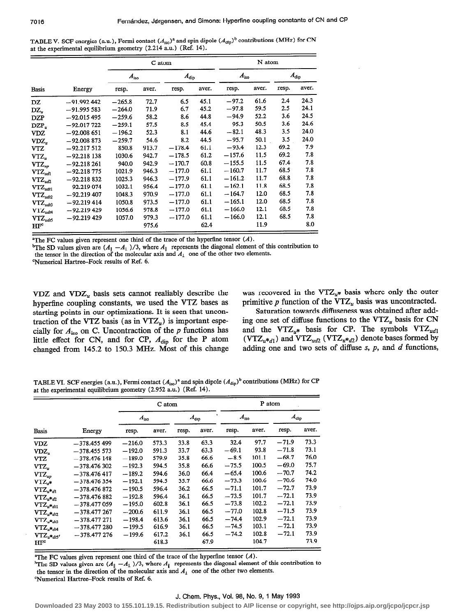TABLE V. SCF energies (a.u.), Fermi contact  $(A_{iso})^a$  and spin dipole  $(A_{dip})^b$  contributions (MHz) for CN at the experimental equilibrium geometry (2.214 a.u.) (Ref. 14).

|                                                 |               |               | C atom |               |       | N atom        |       |               |       |  |
|-------------------------------------------------|---------------|---------------|--------|---------------|-------|---------------|-------|---------------|-------|--|
|                                                 |               | $A_{\rm iso}$ |        | $A_{\rm dip}$ |       | $A_{\rm iso}$ |       | $A_{\rm dip}$ |       |  |
| <b>Basis</b>                                    | Energy        | resp.         | aver.  | resp.         | aver. | resp.         | aver. | resp.         | aver. |  |
| DZ                                              | $-91.992442$  | $-265.8$      | 72.7   | 6.5           | 45.1  | $-97.2$       | 61.6  | 2.4           | 24.3  |  |
| DZ,                                             | $-91.995583$  | $-264.0$      | 71.9   | 6.7           | 45.2  | $-97.8$       | 59.5  | 2.5           | 24.1  |  |
| <b>DZP</b>                                      | $-92.015495$  | $-259.6$      | 58.2   | 8.6           | 44.8  | $-94.9$       | 52.2  | 3.6           | 24.5  |  |
| $DZP_{\nu}$                                     | $-92.017722$  | $-259.1$      | 57.5   | 8.5           | 45.4  | $-95.3$       | 50.5  | 3.6           | 24.6  |  |
| VDZ                                             | $-92.008651$  | $-196.2$      | 52.3   | 8.1           | 44.6  | $-82.1$       | 48.3  | 3.5           | 24.0  |  |
| $VDZ_n$                                         | $-92.008873$  | $-259.7$      | 54.6   | 8.2           | 44.5  | $-95.7$       | 50.1  | 3.5           | 24.0  |  |
| VTZ                                             | $-92.217512$  | 850.8         | 913.7  | $-178.4$      | 61.1  | $-93.4$       | 12.3  | 69.2          | 7.9   |  |
| $VTZ_u$                                         | $-92.218138$  | 1030.6        | 942.7  | $-178.5$      | 61.2  | $-157.6$      | 11.5  | 69.2          | 7.8   |  |
| $VTZ_{up}$                                      | $-92.218261$  | 940.0         | 942.9  | $-170.7$      | 60.8  | $-155.5$      | 11.5  | 67.4          | 7.8   |  |
| $\mathop{\rm VTZ}\nolimits_{ud1}$               | $-92.218775$  | 1021.9        | 946.3  | $-177.0$      | 61.1  | $-160.7$      | 11.7  | 68.5          | 7.8   |  |
| $\mathbf{V}\mathbf{T}\mathbf{Z}_{ud2}$          | $-92.218832$  | 1025.3        | 946.3  | $-177.9$      | 61.1  | $-161.2$      | 11.7  | 68.8          | 7.8   |  |
| $\mathbf{V}\mathbf{T}\mathbf{Z}_{udtl}$         | $-92.219074$  | 1032.1        | 956.4  | $-177.0$      | 61.1  | $-162.1$      | 11.8  | 68.5          | 7.8   |  |
| $\mathbf{V}\mathbf{T}\mathbf{Z}_{ud\mathbf{Q}}$ | $-92.219407$  | 1048.3        | 970.9  | $-177.0$      | 61.1  | $-164.7$      | 12.0  | 68.5          | 7.8   |  |
| $\mathbf{V}\mathbf{T}\mathbf{Z}_{udd3}$         | $-92.219414$  | 1050.8        | 973.5  | $-177.0$      | 61.1  | $-165.1$      | 12.0  | 68.5          | 7.8   |  |
| $\mathbf{V}\mathbf{T}\mathbf{Z}_{udt4}$         | $-92.219429$  | 1056.6        | 978.8  | $-177.0$      | 61.1  | $-166.0$      | 12.1  | 68.5          | 7.8   |  |
| $VTZ_{udt5}$                                    | $-92.219$ 429 | 1057.0        | 979.3  | $-177.0$      | 61.1  | $-166.0$      | 12.1  | 68.5          | 7.8   |  |
| HF <sup>c</sup>                                 |               |               | 975.6  |               | 62.4  |               | 11.9  |               | 8.0   |  |

<sup>a</sup>The FC values given represent one third of the trace of the hyperfine tensor  $(A)$ .

<sup>b</sup>The SD values given are  $(A_{\parallel} - A_{\perp})/3$ , where  $A_{\parallel}$  represents the diagonal element of this contribution to the tensor in the direction of the molecular axis and  $A_i$  one of the other two elements.

'Numerical Hartree-Fock results of Ref. 6.

hyperfine coupling constants, we used the VTZ bases as primitive p function of the VTZ<sub>u</sub> basis was uncontracted.<br>
starting points in our optimizations. It is seen that uncon-<br>
Saturation towards diffuseness was obtained changed from 145.2 to 150.3 MHz. Most of this change

VDZ and VDZ<sub>u</sub> basis sets cannot realiably describe the was recovered in the VTZ<sub>u</sub>\* basis where only the outer hyperfine coupling constants, we used the VTZ bases as primitive p function of the VTZ<sub>u</sub> basis was uncontrac

starting points in our optimizations. It is seen that uncon-<br>traction of the VTZ basis (as in VTZ<sub>n</sub>) is important espe-<br>ing one set of diffuse functions to the VTZ<sub>n</sub> basis for CN traction of the VTZ basis (as in VTZ<sub>u</sub>) is important espe-<br>cially for  $A_{\text{ice}}$  on C. Uncontraction of the p functions has and the VTZ<sub>u</sub>\* basis for CP. The symbols VTZ<sub>ud1</sub> cially for  $A_{\text{iso}}$  on C. Uncontraction of the p functions has and the VTZ<sub>u</sub>\* basis for CP. The symbols VTZ<sub>ud1</sub> little effect for CN, and for CP,  $A_{\text{dip}}$  for the P atom (VTZ<sub>u</sub>\*<sub>d1</sub>) and VTZ<sub>ud2</sub> (VTZ<sub>u\*\*d2</sub>) denote little effect for CN, and for CP,  $A_{\text{dip}}$  for the P atom ( $\text{VTZ}_{u}*_d$ ) and  $\text{VTZ}_{u'd}$  ( $\text{VTZ}_{u'd}$ ) denote bases formed by changed from 145.2 to 150.3 MHz. Most of this change adding one and two sets of diffuse s, p,

TABLE VI. SCF energies (a.u.), Fermi contact  $(A_{iso})^a$  and spin dipole  $(A_{dip})^b$  contributions (MHz) for CP at the experimental equilibrium geometry (2.952 a.u.) (Ref. 14).

|                                                 |                |          | C atom        |       |               | P atom        |       |               |       |  |
|-------------------------------------------------|----------------|----------|---------------|-------|---------------|---------------|-------|---------------|-------|--|
|                                                 |                |          | $A_{\rm iso}$ |       | $A_{\rm dip}$ | $A_{\rm iso}$ |       | $A_{\rm dip}$ |       |  |
| <b>Basis</b>                                    | Energy         | resp.    | aver.         | resp. | aver.         | resp.         | aver. | resp.         | aver. |  |
| <b>VDZ</b>                                      | $-378.455499$  | $-216.0$ | 573.3         | 33.8  | 63.3          | 32.4          | 97.7  | $-71.9$       | 73.3  |  |
| VDZ,                                            | $-378.455573$  | $-192.0$ | 591.3         | 33.7  | 63.3          | $-69.1$       | 93.8  | $-71.8$       | 73.1  |  |
| VTZ                                             | $-378.476$ 148 | $-189.0$ | 579.9         | 35.8  | 66.6          | $-8.5$        | 101.1 | $-68.7$       | 76.0  |  |
| $VTZ_{n}$                                       | $-378.476302$  | $-192.3$ | 594.5         | 35.8  | 66.6          | $-75.5$       | 100.5 | $-69.0$       | 75.7  |  |
| $VTZ_{uo}$                                      | $-378.476417$  | $-189.2$ | 594.6         | 36.0  | 66.4          | $-65.4$       | 100.6 | $-70.7$       | 74.2  |  |
| $VTZ_{\sigma^*}$                                | $-378.476354$  | $-192.1$ | 594.5         | 35.7  | 66.6          | $-73.3$       | 100.6 | $-70.6$       | 74.0  |  |
| $VTZ_{u}*_{d}1$                                 | $-378.476872$  | $-190.5$ | 596.4         | 36.2  | 66.5          | $-71.1$       | 101.7 | $-72.7$       | 73.9  |  |
| $VTZ_{u^*d2}$                                   | $-378.476882$  | $-192.8$ | 596.4         | 36.1  | 66.5          | $-73.5$       | 101.7 | $-72.1$       | 73.9  |  |
| ${\rm VTZ}_{u\texttt{*}dtl}$                    | $-378.477059$  | $-195.0$ | 602.8         | 36.1  | 66.5          | $-73.8$       | 102.2 | $-72.1$       | 73.9  |  |
| $\text{VTZ}_{u\text{*}dd2}$                     | $-378.477267$  | $-200.6$ | 611.9         | 36.1  | 66.5          | $-77.0$       | 102.8 | $-71.5$       | 73.9  |  |
| $VTZ_{u^*d3}$                                   | $-378.477271$  | $-198.4$ | 613.6         | 36.1  | 66.5          | $-74.4$       | 102.9 | $-72.1$       | 73.9  |  |
| $\mathbf{V}\mathbf{T}\mathbf{Z}_{u\ast_{d t4}}$ | $-378.477280$  | $-199.5$ | 616.9         | 36.1  | 66.5          | $-74.5$       | 103.1 | $-72.1$       | 73.9  |  |
| $VTZ_{u^*dt5'}$                                 | $-378.477276$  | $-199.6$ | 617.2         | 36.1  | 66.5          | $-74.2$       | 102.8 | $-72.1$       | 73.9  |  |
| $HF^c$                                          |                |          | 618.3         |       | 67.9          |               | 104.7 |               | 73.9  |  |

"The FC values given represent one third of the trace of the hyperfine tensor  $(A)$ .

<sup>b</sup>The SD values given are  $(A_{\parallel} - A_{\perp})/3$ , where  $A_{\parallel}$  represents the diagonal element of this contribution to the tensor in the direction of the molecular axis and  $A_1$  one of the other two elements. 'Numerical Hartree-Fock results of Ref. 6.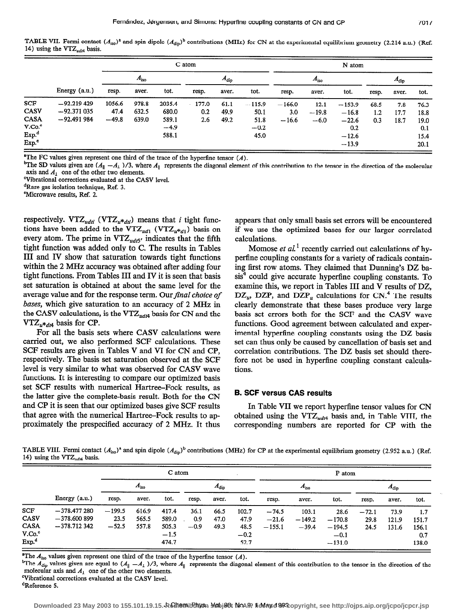TABLE VII. Fermi contact  $(A_{iso})^a$  and spin dipole  $(A_{dip})^b$  contributions (MHz) for CN at the experimental equilibrium geometry (2.214 a.u.) (Ref. 14) using the VTZ $_{udd}$  basis.

|                    |                 | C atom  |               |        |          |               | N atom   |          |               |          |       |               |      |
|--------------------|-----------------|---------|---------------|--------|----------|---------------|----------|----------|---------------|----------|-------|---------------|------|
|                    |                 |         | $A_{\rm iso}$ |        |          | $A_{\rm dip}$ |          |          | $A_{\rm iso}$ |          |       | $A_{\rm dip}$ |      |
|                    | Energy $(a.u.)$ | resp.   | aver.         | tot.   | resp.    | aver.         | tot.     | resp.    | aver.         | tot.     | resp. | aver.         | tot. |
| <b>SCF</b>         | $-92.219$ 429   | 1056.6  | 978.8         | 2035.4 | $-177.0$ | 61.1          | $-115.9$ | $-166.0$ | 12.1          | $-153.9$ | 68.5  | 7.8           | 76.3 |
| <b>CASV</b>        | $-92.371035$    | 47.4    | 632.5         | 680.0  | 0.2      | 49.9          | 50.1     | 3.0      | $-19.8$       | $-16.8$  | 1.2   | 17.7          | 18.8 |
| <b>CASA</b>        | $-92.491984$    | $-49.8$ | 639.0         | 589.1  | 2.6      | 49.2          | 51.8     | $-16.6$  | $-6.0$        | $-22.6$  | 0.3   | 18.7          | 19.0 |
| V.Co. <sup>c</sup> |                 |         |               | $-4.9$ |          |               | $-0.2$   |          |               | 0.2      |       |               | 0.1  |
| Exp. <sup>d</sup>  |                 |         |               | 588.1  |          |               | 45.0     |          |               | $-12.6$  |       |               | 15.4 |
| Exp. <sup>c</sup>  |                 |         |               |        |          |               |          |          |               | $-13.9$  |       |               | 20.1 |

The FC values given represent one third of the trace of the hyperfine tensor  $(A)$ .

<sup>b</sup>The SD values given are  $(A_{\parallel} - A_{\perp})/3$ , where  $A_{\parallel}$  represents the diagonal element of this contribution to the tensor in the direction of the molecular axis and  $A_1$  one of the other two elements.

Wbrational corrections evaluated at the CASV level.

dRare gas isolation technique, Ref. 3.

'Microwave results, Ref. 2.

respectively. VTZ<sub>udti</sub> (VTZ<sub>u\*dti</sub>) means that *i* tight functions have been added to the VTZ<sub>ud1</sub> (VTZ<sub>u</sub>\*<sub>d1</sub>) basis on every atom. The prime in  $VTZ_{ud5'}$  indicates that the fifth tight function was added only to C. The results in Tables III and IV show that saturation towards tight functions within the 2 MHz accuracy was obtained after adding four tight functions. From Tables III and IV it is seen that basis set saturation is obtained at about the same level for the average value and for the response term. Our final choice of bases, which give saturation to an accuracy of 2 MHz in the CASV calculations, is the VTZ $_{ud<sub>td</sub>$  basis for CN and the  $VTZ_{u*_{d14}}$  basis for CP.

For all the basis sets where CASV calculations were carried out, we also performed SCF calculations. These SCF results are given in Tables V and VI for CN and CP, respectively. The basis set saturation observed at the SCF level is very similar to what was observed for CASV wave functions. It is interesting to compare our optimized basis set SCF results with numerical Hartree-Fock results, as the latter give the complete-basis result. Both for the CN and CP it is seen that our optimized bases give SCF results that agree with the numerical Hartree–Fock results to approximately the prespecified accuracy of 2 MHz. It thus appears that only small basis set errors will be encountered if we use the optimized bases for our larger correlated calculations.

Momose *et al.*<sup>1</sup> recently carried out calculations of hyperflne coupling constants for a variety of radicals containing first row atoms. They claimed that Dunning's DZ basis<sup>4</sup> could give accurate hyperfine coupling constants. To examine this, we report in Tables III and V results of DZ,  $DZ_u$ , DZP, and  $DZP_u$  calculations for CN.<sup>4</sup> The results clearly demonstrate that these bases produce very large basis set errors both for the SCF and the CASV wave functions. Good agreement between calculated and experimental hyperfine coupling constants using the DZ basis set can thus only be caused by cancellation of basis set and correlation contributions. The DZ basis set should therefore not be used in hyperfine coupling constant calculations.

## B. SCF versus CAS results

In Table VII we report hyperflne tensor values for CN obtained using the VTZ<sub>udt4</sub> basis and, in Table VIII, the corresponding numbers are reported for CP with the

TABLE VIII. Fermi contact  $(A_{iso})^a$  and spin dipole  $(A_{dip})^b$  contributions (MHz) for CP at the experimental equilibrium geometry (2.952 a.u.) (Ref. 14) using the  $VTZ_{udd}$  basis.

|                    |                 |          | C atom        |        |        |               | P atom |               |          |          |               |       |       |
|--------------------|-----------------|----------|---------------|--------|--------|---------------|--------|---------------|----------|----------|---------------|-------|-------|
|                    | Energy $(a.u.)$ |          | $A_{\rm iso}$ |        |        | $A_{\rm dip}$ |        | $A_{\rm iso}$ |          |          | $A_{\rm dip}$ |       |       |
|                    |                 | resp.    | aver.         | tot.   | resp.  | aver.         | tot.   | resp.         | aver.    | tot.     | resp.         | aver. | tot.  |
| <b>SCF</b>         | $-378,477280$   | $-199.5$ | 616.9         | 417.4  | 36.1   | 66.5          | 102.7  | $-74.5$       | 103.1    | 28.6     | $-72.1$       | 73.9  | 1.7   |
| CASV               | $-378,600899$   | 23.5     | 565.5         | 589.0  | 0.9    | 47.0          | 47.9   | $-21.6$       | $-149.2$ | $-170.8$ | 29.8          | 121.9 | 151.7 |
| <b>CASA</b>        | $-378.712342$   | $-52.5$  | 557.8         | 505.3  | $-0.9$ | 49.3          | 48.5   | $-155.1$      | $-39.4$  | $-194.5$ | 24.5          | 131.6 | 156.1 |
| V.Co. <sup>c</sup> |                 |          |               | $-1.5$ |        |               | $-0.2$ |               |          | $-0.1$   |               |       | 0.7   |
| Exp <sup>d</sup>   |                 |          |               | 474.7  |        |               | 52.7   |               |          | $-131.0$ |               |       | 138.0 |

<sup>a</sup>The  $A_{\text{iso}}$  values given represent one third of the trace of the hyperfine tensor (A).

<sup>b</sup>The  $\widetilde{A_{\text{dip}}}$  values given are equal to  $(A_{\parallel} - A_{\perp})/3$ , where  $A_{\parallel}$  represents the diagonal element of this contribution to the tensor in the direction of the molecular axis and  $A_1$  one of the other two elements.

Yibrational corrections evaluated at the CASV level.

dReference 5.

Downloaded 23 May 2003 to 155.101.19.15. Redistribution you jest NoAP, lidense 993 copyright, see http://ojps.aip.org/jcpo/jcpcr.jsp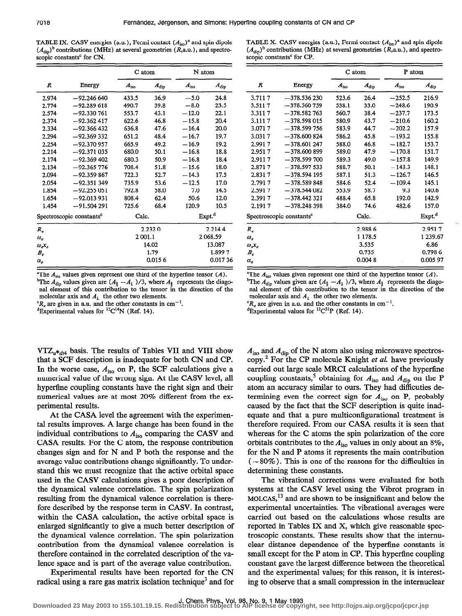TABLE IX. CASV energies (a.u.), Fermi contact  $(A<sub>iso</sub>)<sup>a</sup>$  and spin dipole  $(A_{\text{dip}})$ <sup>b</sup> contributions (MHz) at several geometries (R,a.u.), and spectroscopic constants<sup>c</sup> for CN.

| TABLE X. CASV energies (a.u.), Fermi contact $(Aiso)a$ and spin dipole                |  |
|---------------------------------------------------------------------------------------|--|
| $(A_{\text{din}})^b$ contributions (MHz) at several geometries (R,a.u.), and spectro- |  |
| scopic constants <sup>c</sup> for CP.                                                 |  |

|                |                                      | C atom        |               | N atom             |               |  |
|----------------|--------------------------------------|---------------|---------------|--------------------|---------------|--|
| R              | Energy                               | $A_{\rm iso}$ | $A_{\rm dip}$ | $A_{\rm iso}$      | $A_{\rm dip}$ |  |
| 2.974          | $-92.246640$                         | 433.5         | 36.9          | $-5.0$             | 24.8          |  |
| 2.774          | $-92.289618$                         | 490.7         | 39.8          | $-8.0$             | 23.5          |  |
| 2.574          | $-92.330761$                         | 553.7         | 43.1          | $-12.0$            | 22.1          |  |
| 2.374          | $-92.362417$                         | 622.6         | 46.8          | $-15.8$            | 20.4          |  |
| 2.334          | $-92.366432$                         | 636.8         | 47.6          | $-16.4$            | 20.0          |  |
| 2.294          | $-92.369332$                         | 651.2         | 48.4          | $-16.7$            | 19.7          |  |
| 2.254          | $-92.370957$                         | 665.9         | 49.2          | $-16.9$            | 19.2          |  |
| 2.214          | $-92.371035$                         | 680.0         | 50.1          | $-16.8$            | 18.8          |  |
| 2.174          | $-92.369402$                         | 680.3         | 50.9          | $-16.8$            | 18.4          |  |
| 2.134          | $-92.365776$                         | 708.4         | 51.8          | $-15.6$            | 18.0          |  |
| 2.094          | $-92.359867$                         | 722.3         | 52.7          | $-14.3$            | 17.5          |  |
| 2.054          | $-92.351349$                         | 735.9         | 53.6          | $-12.5$            | 17.0          |  |
| 1.854          | $-92.255051$                         | 792.8         | 58.0          | 7.0                | 14.5          |  |
| 1.654          | $-92.013931$                         | 808.4         | 62.4          | 50.6               | 12.0          |  |
| 1.454          | $-91.504291$                         | 725.6         | 68.4          | 120.9              | 10.5          |  |
|                | Spectroscopic constants <sup>c</sup> | Calc.         |               | Expt. <sup>d</sup> |               |  |
| R,             |                                      |               | 2.2320        |                    | 2.2144        |  |
| $\omega_e$     |                                      | 2001.1        |               |                    | 2068.59       |  |
| $\omega_c x_e$ |                                      |               | 14.02         | 13.087             |               |  |
| $B_e$          |                                      |               | 1.79          | 1.8997             |               |  |
| $\alpha_e$     |                                      |               | 0.0156        | 0.01736            |               |  |

<sup>a</sup>The  $A_{\text{iso}}$  values given represent one third of the hyperfine tensor (A). <sup>b</sup>The  $A_{\text{dip}}$  values given are  $(A_{\parallel} - A_{\perp})/3$ , where  $A_{\parallel}$  represents the diagonal element of this contribution to the tensor in the direction of the molecular axis and  $A_1$  the other two elements.

 ${}^cR_e$  are given in a.u. and the other constants in cm<sup>-1</sup>.

 ${}^{d}$ Experimental values for  ${}^{12}$ C<sup>14</sup>N (Ref. 14).

 $VTZ_{u*_{d/4}}$  basis. The results of Tables VII and VIII show that a SCF description is inadequate for both CN and CP. In the worse case,  $A_{iso}$  on P, the SCF calculations give a numerical value of the wrong sign. At the CASV level, all hyperfme coupling constants have the right sign and their numerical values are at most 20% different from the experimental results.

At the CASA level the agreement with the experimental results improves. A large change has been found in the individual contributions to  $A_{\text{iso}}$  comparing the CASV and CASA results. For the C atom, the response contribution changes sign and for N and P both the response and the average value contributions change significantly. To understand this we must recognize that the active orbital space used in the CASV calculations gives a poor description of the dynamical valence correlation. The spin polarization resulting from the dynamical valence correlation is therefore described by the response term in CASV. In contrast, within the CASA calculation, the active orbital space is enlarged significantly to give a much better description of the dynamical valence correlation. The spin polarization contribution from the dynamical valence correlation is therefore contained in the correlated description of the valence space and is part of the average value contribution.

Experimental results have been reported for the CN radical using a rare gas matrix isolation technique<sup>3</sup> and for

|                   |                                      | C atom        |               | P atom        |                    |
|-------------------|--------------------------------------|---------------|---------------|---------------|--------------------|
| $\boldsymbol{R}$  | Energy                               | $A_{\rm iso}$ | $A_{\rm dip}$ | $A_{\rm iso}$ | $A_{\rm dip}$      |
| 3.7117            | $-378.536230$                        | 523.6         | 26.4          | $-252.5$      | 216.9              |
| 3.5117            | $-378.560759$                        | 538.1         | 33.0          | $-248.6$      | 190.9              |
| 3.3117            | $-378.582763$                        | 560.7         | 38.4          | $-237.7$      | 173.5              |
| 3.1117            | $-378.598015$                        | 580.9         | 43.7          | $-210.6$      | 160.2              |
| 3.0717            | $-378.599756$                        | 583.9         | 44.7          | $-202.2$      | 157.9              |
| 3.0317            | $-378,600824$                        | 586.2         | 45.8          | $-193.2$      | 155.8              |
| 2.9917            | $-378.601247$                        | 588.0         | 46.8          | $-182.7$      | 153.7              |
| 2.9517            | $-378,600899$                        | 589.0         | 47.9          | $-170.8$      | 151.7              |
| 2.9117            | $-378.599700$                        | 589.3         | 49.0          | $-157.8$      | 149.9              |
| 2.8717            | $-378.597533$                        | 588.7         | 50.1          | $-143.3$      | 148.1              |
| 2.8317            | $-378.594$ 195                       | 587.1         | 51.3          | $-126.7$      | 146.5              |
| 2.7917            | $-378.589848$                        | 584.6         | 52.4          | $-109.4$      | 145.1              |
| 2.5917            | $-378.544082$                        | 553.9         | 58.7          | 9.3           | 140.6              |
| 2.3917            | $-378.442321$                        | 488.4         | 65.8          | 192.0         | 142.9              |
| 2.1917            | $-378.248398$                        | 384.0         | 74.6          | 482.6         | 157.0              |
|                   | Spectroscopic constants <sup>c</sup> |               | Calc.         |               | Expt. <sup>d</sup> |
| $R_{\circ}$       |                                      |               | 2.9886        |               | 2.9517             |
| $\omega_e$        |                                      |               | 1 1 7 8 . 5   |               | 1 239.67           |
| $\omega_{e}x_{e}$ |                                      |               | 3.535         |               | 6.86               |
| $B_e$             |                                      |               | 0.735         |               | 0.7986             |
| $\alpha_{\circ}$  |                                      |               | 0.0048        |               | 0.005 97           |

"The  $A_{\text{iso}}$  values given represent one third of the hyperfine tensor  $(A)$ . <sup>b</sup>The  $A_{\text{dip}}$  values given are  $(A_{\parallel} - A_1)$ /3, where  $A_{\parallel}$  represents the diagonal element of this contribution to the tensor in the direction of the molecular axis and  $A_1$  the other two elements.

 ${}^cR_e$  are given in a.u. and the other constants in cm<sup>-1</sup>.

 ${}^{d}$ Experimental values for  ${}^{12}$ C<sup>31</sup>P (Ref. 14).

 $A_{\text{iso}}$  and  $A_{\text{dip}}$  of the N atom also using microwave spectroscopy.<sup>2</sup> For the CP molecule Knight et al. have previously carried out large scale MRCI calculations of the hypertine coupling constants,<sup>5</sup> obtaining for  $A_{\text{iso}}$  and  $A_{\text{dip}}$  on the P atom an accuracy similar to ours. They had difficuties determining even the correct sign for  $A_{iso}$  on P, probably caused by the fact that the SCF description is quite inadequate and that a pure multiconfigurational treatment is therefore required. From our CASA results it is seen that whereas for the C atoms the spin polarization of the core orbitals contributes to the  $A_{\text{iso}}$  values in only about an 8%, for the N and P atoms it represents the main contribution  $(-80\%)$ . This is one of the reasons for the difficulties in determining these constants.

The vibrational corrections were evaluated for both systems at the CASV level using the Vibrot program in  $MOLCAS, <sup>13</sup>$  and are shown to be insignificant and below the experimental uncertainties. The vibrational averages were carried out based on the calculations whose results are reported in Tables IX and X, which give reasonable spectroscopic constants. These results show that the internuclear distance dependence of the hyperfine constants is small except for the P atom in CP. This hyperfine coupling constant gave the largest difference between the theoretical and the experimental values; for this reason, it is interesting to observe that a small compression in the internuclear